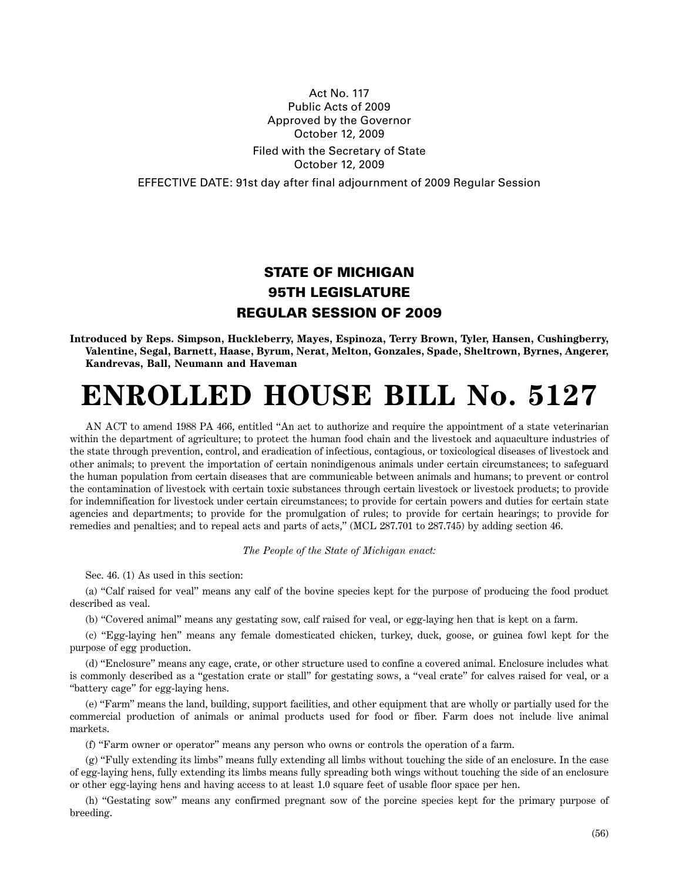## Act No. 117 Public Acts of 2009 Approved by the Governor October 12, 2009 Filed with the Secretary of State October 12, 2009

EFFECTIVE DATE: 91st day after final adjournment of 2009 Regular Session

## **STATE OF MICHIGAN 95TH LEGISLATURE REGULAR SESSION OF 2009**

**Introduced by Reps. Simpson, Huckleberry, Mayes, Espinoza, Terry Brown, Tyler, Hansen, Cushingberry, Valentine, Segal, Barnett, Haase, Byrum, Nerat, Melton, Gonzales, Spade, Sheltrown, Byrnes, Angerer, Kandrevas, Ball, Neumann and Haveman**

## **ENROLLED HOUSE BILL No. 5127**

AN ACT to amend 1988 PA 466, entitled "An act to authorize and require the appointment of a state veterinarian within the department of agriculture; to protect the human food chain and the livestock and aquaculture industries of the state through prevention, control, and eradication of infectious, contagious, or toxicological diseases of livestock and other animals; to prevent the importation of certain nonindigenous animals under certain circumstances; to safeguard the human population from certain diseases that are communicable between animals and humans; to prevent or control the contamination of livestock with certain toxic substances through certain livestock or livestock products; to provide for indemnification for livestock under certain circumstances; to provide for certain powers and duties for certain state agencies and departments; to provide for the promulgation of rules; to provide for certain hearings; to provide for remedies and penalties; and to repeal acts and parts of acts," (MCL 287.701 to 287.745) by adding section 46.

*The People of the State of Michigan enact:*

Sec. 46. (1) As used in this section:

(a) "Calf raised for veal" means any calf of the bovine species kept for the purpose of producing the food product described as veal.

(b) "Covered animal" means any gestating sow, calf raised for veal, or egg-laying hen that is kept on a farm.

(c) "Egg-laying hen" means any female domesticated chicken, turkey, duck, goose, or guinea fowl kept for the purpose of egg production.

(d) "Enclosure" means any cage, crate, or other structure used to confine a covered animal. Enclosure includes what is commonly described as a "gestation crate or stall" for gestating sows, a "veal crate" for calves raised for veal, or a "battery cage" for egg-laying hens.

(e) "Farm" means the land, building, support facilities, and other equipment that are wholly or partially used for the commercial production of animals or animal products used for food or fiber. Farm does not include live animal markets.

(f) "Farm owner or operator" means any person who owns or controls the operation of a farm.

(g) "Fully extending its limbs" means fully extending all limbs without touching the side of an enclosure. In the case of egg-laying hens, fully extending its limbs means fully spreading both wings without touching the side of an enclosure or other egg-laying hens and having access to at least 1.0 square feet of usable floor space per hen.

(h) "Gestating sow" means any confirmed pregnant sow of the porcine species kept for the primary purpose of breeding.